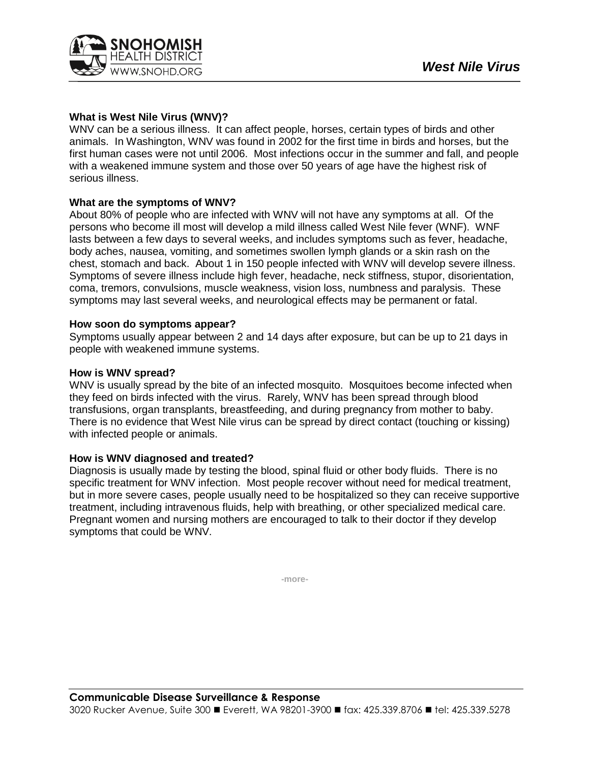

# **What is West Nile Virus (WNV)?**

WNV can be a serious illness. It can affect people, horses, certain types of birds and other animals. In Washington, WNV was found in 2002 for the first time in birds and horses, but the first human cases were not until 2006. Most infections occur in the summer and fall, and people with a weakened immune system and those over 50 years of age have the highest risk of serious illness.

### **What are the symptoms of WNV?**

About 80% of people who are infected with WNV will not have any symptoms at all. Of the persons who become ill most will develop a mild illness called West Nile fever (WNF). WNF lasts between a few days to several weeks, and includes symptoms such as fever, headache, body aches, nausea, vomiting, and sometimes swollen lymph glands or a skin rash on the chest, stomach and back. About 1 in 150 people infected with WNV will develop severe illness. Symptoms of severe illness include high fever, headache, neck stiffness, stupor, disorientation, coma, tremors, convulsions, muscle weakness, vision loss, numbness and paralysis. These symptoms may last several weeks, and neurological effects may be permanent or fatal.

#### **How soon do symptoms appear?**

Symptoms usually appear between 2 and 14 days after exposure, but can be up to 21 days in people with weakened immune systems.

### **How is WNV spread?**

WNV is usually spread by the bite of an infected mosquito. Mosquitoes become infected when they feed on birds infected with the virus. Rarely, WNV has been spread through blood transfusions, organ transplants, breastfeeding, and during pregnancy from mother to baby. There is no evidence that West Nile virus can be spread by direct contact (touching or kissing) with infected people or animals.

## **How is WNV diagnosed and treated?**

Diagnosis is usually made by testing the blood, spinal fluid or other body fluids. There is no specific treatment for WNV infection. Most people recover without need for medical treatment, but in more severe cases, people usually need to be hospitalized so they can receive supportive treatment, including intravenous fluids, help with breathing, or other specialized medical care. Pregnant women and nursing mothers are encouraged to talk to their doctor if they develop symptoms that could be WNV.

**-more-**